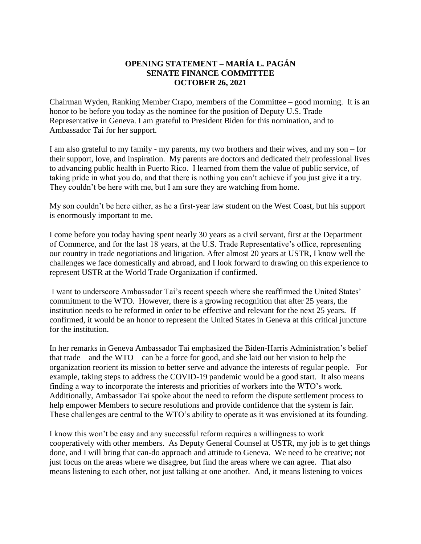## **OPENING STATEMENT – MARÍA L. PAGÁN SENATE FINANCE COMMITTEE OCTOBER 26, 2021**

Chairman Wyden, Ranking Member Crapo, members of the Committee – good morning. It is an honor to be before you today as the nominee for the position of Deputy U.S. Trade Representative in Geneva. I am grateful to President Biden for this nomination, and to Ambassador Tai for her support.

I am also grateful to my family - my parents, my two brothers and their wives, and my son – for their support, love, and inspiration. My parents are doctors and dedicated their professional lives to advancing public health in Puerto Rico. I learned from them the value of public service, of taking pride in what you do, and that there is nothing you can't achieve if you just give it a try. They couldn't be here with me, but I am sure they are watching from home.

My son couldn't be here either, as he a first-year law student on the West Coast, but his support is enormously important to me.

I come before you today having spent nearly 30 years as a civil servant, first at the Department of Commerce, and for the last 18 years, at the U.S. Trade Representative's office, representing our country in trade negotiations and litigation. After almost 20 years at USTR, I know well the challenges we face domestically and abroad, and I look forward to drawing on this experience to represent USTR at the World Trade Organization if confirmed.

I want to underscore Ambassador Tai's recent speech where she reaffirmed the United States' commitment to the WTO. However, there is a growing recognition that after 25 years, the institution needs to be reformed in order to be effective and relevant for the next 25 years. If confirmed, it would be an honor to represent the United States in Geneva at this critical juncture for the institution.

In her remarks in Geneva Ambassador Tai emphasized the Biden-Harris Administration's belief that trade – and the WTO – can be a force for good, and she laid out her vision to help the organization reorient its mission to better serve and advance the interests of regular people. For example, taking steps to address the COVID-19 pandemic would be a good start. It also means finding a way to incorporate the interests and priorities of workers into the WTO's work. Additionally, Ambassador Tai spoke about the need to reform the dispute settlement process to help empower Members to secure resolutions and provide confidence that the system is fair. These challenges are central to the WTO's ability to operate as it was envisioned at its founding.

I know this won't be easy and any successful reform requires a willingness to work cooperatively with other members. As Deputy General Counsel at USTR, my job is to get things done, and I will bring that can-do approach and attitude to Geneva. We need to be creative; not just focus on the areas where we disagree, but find the areas where we can agree. That also means listening to each other, not just talking at one another. And, it means listening to voices